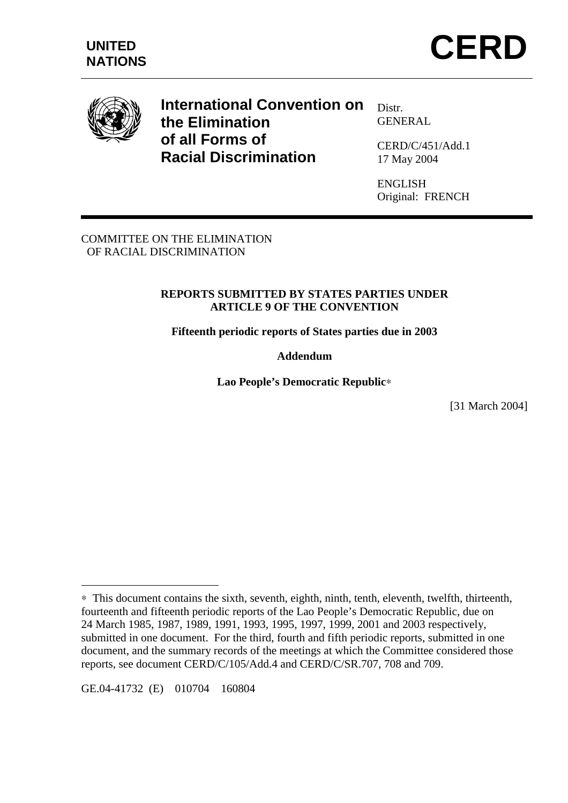



**International Convention on the Elimination of all Forms of Racial Discrimination** 

Distr. GENERAL

CERD/C/451/Add.1 17 May 2004

ENGLISH Original: FRENCH

COMMITTEE ON THE ELIMINATION OF RACIAL DISCRIMINATION

## **REPORTS SUBMITTED BY STATES PARTIES UNDER ARTICLE 9 OF THE CONVENTION**

**Fifteenth periodic reports of States parties due in 2003** 

**Addendum** 

**Lao People's Democratic Republic**∗

[31 March 2004]

GE.04-41732 (E) 010704 160804

 $\overline{a}$ 

<sup>∗</sup> This document contains the sixth, seventh, eighth, ninth, tenth, eleventh, twelfth, thirteenth, fourteenth and fifteenth periodic reports of the Lao People's Democratic Republic, due on 24 March 1985, 1987, 1989, 1991, 1993, 1995, 1997, 1999, 2001 and 2003 respectively, submitted in one document. For the third, fourth and fifth periodic reports, submitted in one document, and the summary records of the meetings at which the Committee considered those reports, see document CERD/C/105/Add.4 and CERD/C/SR.707, 708 and 709.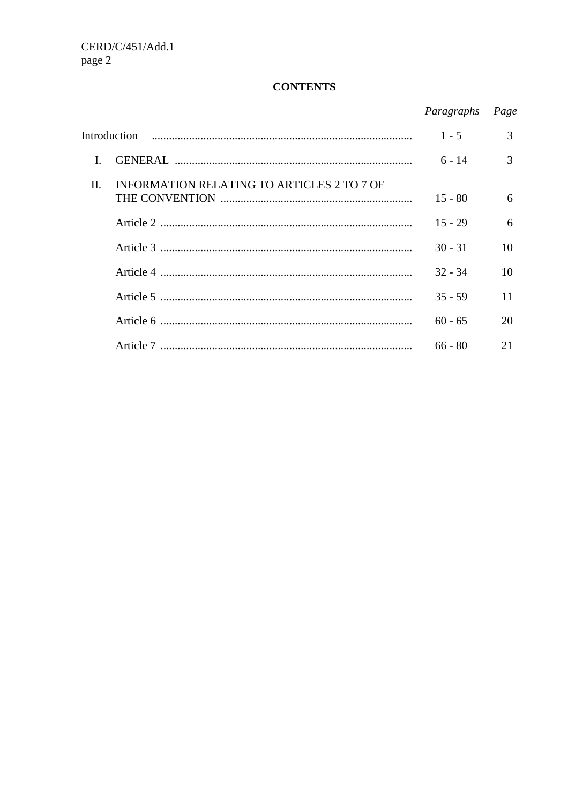# **CONTENTS**

|              |                                            | Paragraphs | Page |
|--------------|--------------------------------------------|------------|------|
| Introduction |                                            | $1 - 5$    | 3    |
|              |                                            | $6 - 14$   | 3    |
| $\Pi$ .      | INFORMATION RELATING TO ARTICLES 2 TO 7 OF | $15 - 80$  | 6    |
|              |                                            | $15 - 29$  | 6    |
|              |                                            | $30 - 31$  | 10   |
|              |                                            | $32 - 34$  | 10   |
|              |                                            | $35 - 59$  | 11   |
|              |                                            | $60 - 65$  | 20   |
|              |                                            | $66 - 80$  | 21   |
|              |                                            |            |      |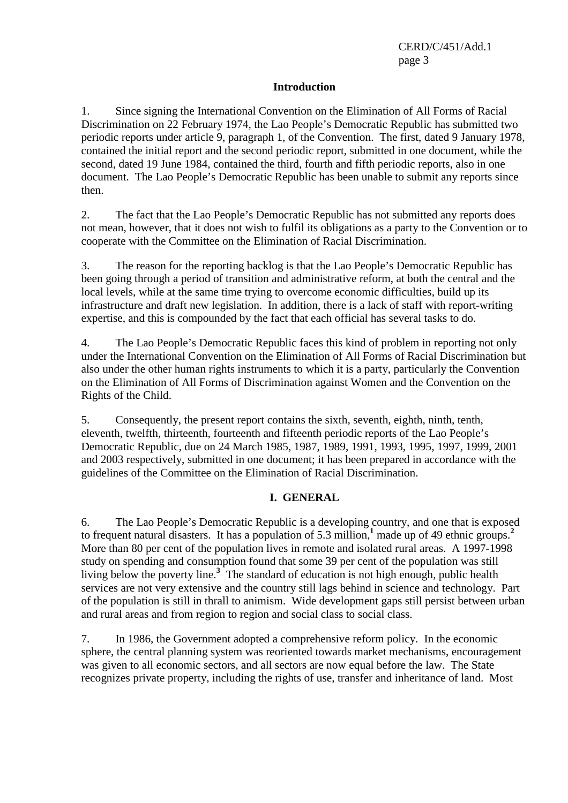## **Introduction**

1. Since signing the International Convention on the Elimination of All Forms of Racial Discrimination on 22 February 1974, the Lao People's Democratic Republic has submitted two periodic reports under article 9, paragraph 1, of the Convention. The first, dated 9 January 1978, contained the initial report and the second periodic report, submitted in one document, while the second, dated 19 June 1984, contained the third, fourth and fifth periodic reports, also in one document. The Lao People's Democratic Republic has been unable to submit any reports since then.

2. The fact that the Lao People's Democratic Republic has not submitted any reports does not mean, however, that it does not wish to fulfil its obligations as a party to the Convention or to cooperate with the Committee on the Elimination of Racial Discrimination.

3. The reason for the reporting backlog is that the Lao People's Democratic Republic has been going through a period of transition and administrative reform, at both the central and the local levels, while at the same time trying to overcome economic difficulties, build up its infrastructure and draft new legislation. In addition, there is a lack of staff with report-writing expertise, and this is compounded by the fact that each official has several tasks to do.

4. The Lao People's Democratic Republic faces this kind of problem in reporting not only under the International Convention on the Elimination of All Forms of Racial Discrimination but also under the other human rights instruments to which it is a party, particularly the Convention on the Elimination of All Forms of Discrimination against Women and the Convention on the Rights of the Child.

5. Consequently, the present report contains the sixth, seventh, eighth, ninth, tenth, eleventh, twelfth, thirteenth, fourteenth and fifteenth periodic reports of the Lao People's Democratic Republic, due on 24 March 1985, 1987, 1989, 1991, 1993, 1995, 1997, 1999, 2001 and 2003 respectively, submitted in one document; it has been prepared in accordance with the guidelines of the Committee on the Elimination of Racial Discrimination.

## **I. GENERAL**

6. The Lao People's Democratic Republic is a developing country, and one that is exposed to frequent natural disasters. It has a population of 5.3 million,**<sup>1</sup>** made up of 49 ethnic groups.**<sup>2</sup>** More than 80 per cent of the population lives in remote and isolated rural areas. A 1997-1998 study on spending and consumption found that some 39 per cent of the population was still living below the poverty line.**<sup>3</sup>** The standard of education is not high enough, public health services are not very extensive and the country still lags behind in science and technology. Part of the population is still in thrall to animism. Wide development gaps still persist between urban and rural areas and from region to region and social class to social class.

7. In 1986, the Government adopted a comprehensive reform policy. In the economic sphere, the central planning system was reoriented towards market mechanisms, encouragement was given to all economic sectors, and all sectors are now equal before the law. The State recognizes private property, including the rights of use, transfer and inheritance of land. Most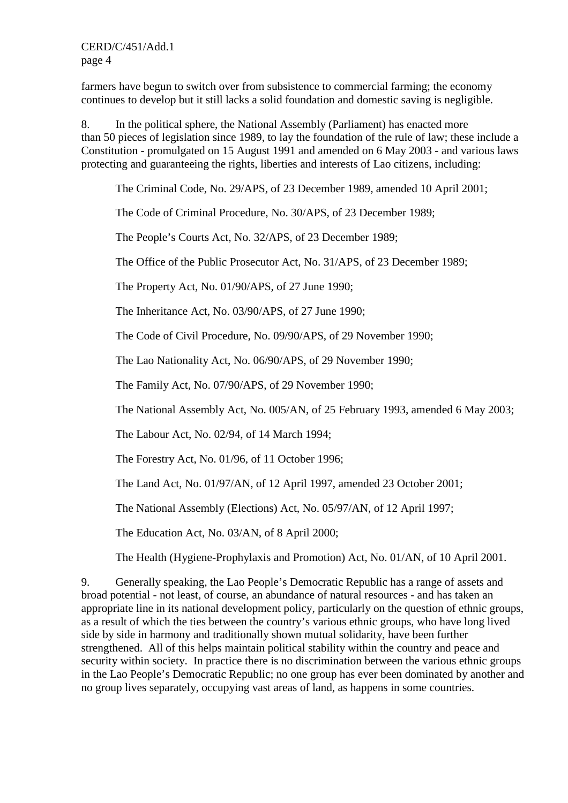farmers have begun to switch over from subsistence to commercial farming; the economy continues to develop but it still lacks a solid foundation and domestic saving is negligible.

8. In the political sphere, the National Assembly (Parliament) has enacted more than 50 pieces of legislation since 1989, to lay the foundation of the rule of law; these include a Constitution - promulgated on 15 August 1991 and amended on 6 May 2003 - and various laws protecting and guaranteeing the rights, liberties and interests of Lao citizens, including:

The Criminal Code, No. 29/APS, of 23 December 1989, amended 10 April 2001;

The Code of Criminal Procedure, No. 30/APS, of 23 December 1989;

The People's Courts Act, No. 32/APS, of 23 December 1989;

The Office of the Public Prosecutor Act, No. 31/APS, of 23 December 1989;

The Property Act, No. 01/90/APS, of 27 June 1990;

The Inheritance Act, No. 03/90/APS, of 27 June 1990;

The Code of Civil Procedure, No. 09/90/APS, of 29 November 1990;

The Lao Nationality Act, No. 06/90/APS, of 29 November 1990;

The Family Act, No. 07/90/APS, of 29 November 1990;

The National Assembly Act, No. 005/AN, of 25 February 1993, amended 6 May 2003;

The Labour Act, No. 02/94, of 14 March 1994;

The Forestry Act, No. 01/96, of 11 October 1996;

The Land Act, No. 01/97/AN, of 12 April 1997, amended 23 October 2001;

The National Assembly (Elections) Act, No. 05/97/AN, of 12 April 1997;

The Education Act, No. 03/AN, of 8 April 2000;

The Health (Hygiene-Prophylaxis and Promotion) Act, No. 01/AN, of 10 April 2001.

9. Generally speaking, the Lao People's Democratic Republic has a range of assets and broad potential - not least, of course, an abundance of natural resources - and has taken an appropriate line in its national development policy, particularly on the question of ethnic groups, as a result of which the ties between the country's various ethnic groups, who have long lived side by side in harmony and traditionally shown mutual solidarity, have been further strengthened. All of this helps maintain political stability within the country and peace and security within society. In practice there is no discrimination between the various ethnic groups in the Lao People's Democratic Republic; no one group has ever been dominated by another and no group lives separately, occupying vast areas of land, as happens in some countries.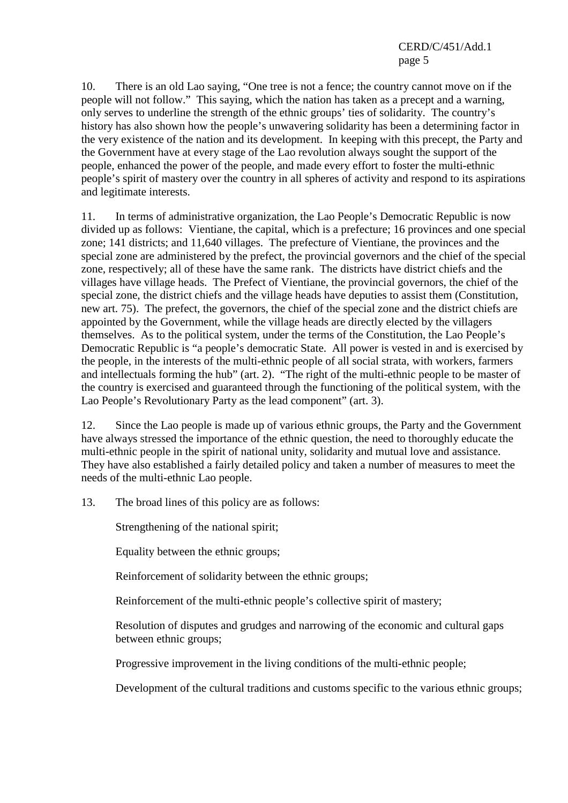10. There is an old Lao saying, "One tree is not a fence; the country cannot move on if the people will not follow." This saying, which the nation has taken as a precept and a warning, only serves to underline the strength of the ethnic groups' ties of solidarity. The country's history has also shown how the people's unwavering solidarity has been a determining factor in the very existence of the nation and its development. In keeping with this precept, the Party and the Government have at every stage of the Lao revolution always sought the support of the people, enhanced the power of the people, and made every effort to foster the multi-ethnic people's spirit of mastery over the country in all spheres of activity and respond to its aspirations and legitimate interests.

11. In terms of administrative organization, the Lao People's Democratic Republic is now divided up as follows: Vientiane, the capital, which is a prefecture; 16 provinces and one special zone; 141 districts; and 11,640 villages. The prefecture of Vientiane, the provinces and the special zone are administered by the prefect, the provincial governors and the chief of the special zone, respectively; all of these have the same rank. The districts have district chiefs and the villages have village heads. The Prefect of Vientiane, the provincial governors, the chief of the special zone, the district chiefs and the village heads have deputies to assist them (Constitution, new art. 75). The prefect, the governors, the chief of the special zone and the district chiefs are appointed by the Government, while the village heads are directly elected by the villagers themselves. As to the political system, under the terms of the Constitution, the Lao People's Democratic Republic is "a people's democratic State. All power is vested in and is exercised by the people, in the interests of the multi-ethnic people of all social strata, with workers, farmers and intellectuals forming the hub" (art. 2). "The right of the multi-ethnic people to be master of the country is exercised and guaranteed through the functioning of the political system, with the Lao People's Revolutionary Party as the lead component" (art. 3).

12. Since the Lao people is made up of various ethnic groups, the Party and the Government have always stressed the importance of the ethnic question, the need to thoroughly educate the multi-ethnic people in the spirit of national unity, solidarity and mutual love and assistance. They have also established a fairly detailed policy and taken a number of measures to meet the needs of the multi-ethnic Lao people.

13. The broad lines of this policy are as follows:

Strengthening of the national spirit;

Equality between the ethnic groups;

Reinforcement of solidarity between the ethnic groups;

Reinforcement of the multi-ethnic people's collective spirit of mastery;

 Resolution of disputes and grudges and narrowing of the economic and cultural gaps between ethnic groups;

Progressive improvement in the living conditions of the multi-ethnic people;

Development of the cultural traditions and customs specific to the various ethnic groups;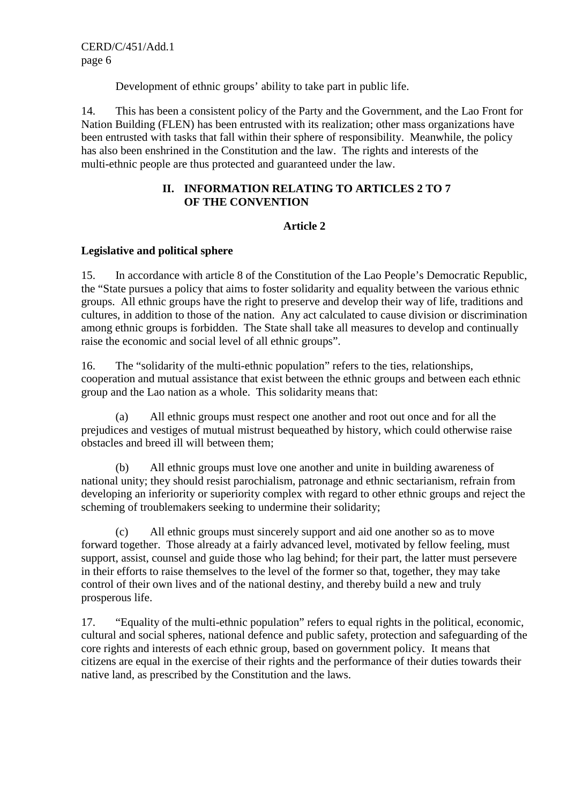Development of ethnic groups' ability to take part in public life.

14. This has been a consistent policy of the Party and the Government, and the Lao Front for Nation Building (FLEN) has been entrusted with its realization; other mass organizations have been entrusted with tasks that fall within their sphere of responsibility. Meanwhile, the policy has also been enshrined in the Constitution and the law. The rights and interests of the multi-ethnic people are thus protected and guaranteed under the law.

## **II. INFORMATION RELATING TO ARTICLES 2 TO 7 OF THE CONVENTION**

### **Article 2**

### **Legislative and political sphere**

15. In accordance with article 8 of the Constitution of the Lao People's Democratic Republic, the "State pursues a policy that aims to foster solidarity and equality between the various ethnic groups. All ethnic groups have the right to preserve and develop their way of life, traditions and cultures, in addition to those of the nation. Any act calculated to cause division or discrimination among ethnic groups is forbidden. The State shall take all measures to develop and continually raise the economic and social level of all ethnic groups".

16. The "solidarity of the multi-ethnic population" refers to the ties, relationships, cooperation and mutual assistance that exist between the ethnic groups and between each ethnic group and the Lao nation as a whole. This solidarity means that:

 (a) All ethnic groups must respect one another and root out once and for all the prejudices and vestiges of mutual mistrust bequeathed by history, which could otherwise raise obstacles and breed ill will between them;

 (b) All ethnic groups must love one another and unite in building awareness of national unity; they should resist parochialism, patronage and ethnic sectarianism, refrain from developing an inferiority or superiority complex with regard to other ethnic groups and reject the scheming of troublemakers seeking to undermine their solidarity;

 (c) All ethnic groups must sincerely support and aid one another so as to move forward together. Those already at a fairly advanced level, motivated by fellow feeling, must support, assist, counsel and guide those who lag behind; for their part, the latter must persevere in their efforts to raise themselves to the level of the former so that, together, they may take control of their own lives and of the national destiny, and thereby build a new and truly prosperous life.

17. "Equality of the multi-ethnic population" refers to equal rights in the political, economic, cultural and social spheres, national defence and public safety, protection and safeguarding of the core rights and interests of each ethnic group, based on government policy. It means that citizens are equal in the exercise of their rights and the performance of their duties towards their native land, as prescribed by the Constitution and the laws.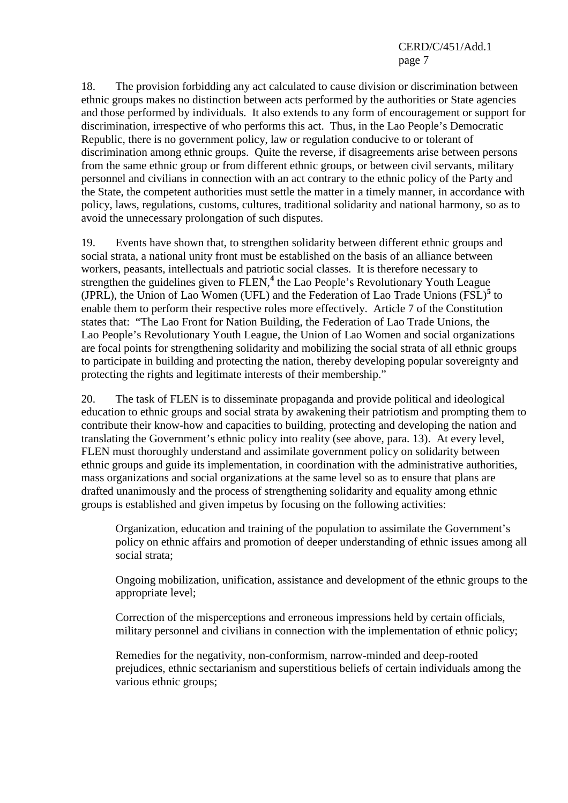## CERD/C/451/Add.1 page 7

18. The provision forbidding any act calculated to cause division or discrimination between ethnic groups makes no distinction between acts performed by the authorities or State agencies and those performed by individuals. It also extends to any form of encouragement or support for discrimination, irrespective of who performs this act. Thus, in the Lao People's Democratic Republic, there is no government policy, law or regulation conducive to or tolerant of discrimination among ethnic groups. Quite the reverse, if disagreements arise between persons from the same ethnic group or from different ethnic groups, or between civil servants, military personnel and civilians in connection with an act contrary to the ethnic policy of the Party and the State, the competent authorities must settle the matter in a timely manner, in accordance with policy, laws, regulations, customs, cultures, traditional solidarity and national harmony, so as to avoid the unnecessary prolongation of such disputes.

19. Events have shown that, to strengthen solidarity between different ethnic groups and social strata, a national unity front must be established on the basis of an alliance between workers, peasants, intellectuals and patriotic social classes. It is therefore necessary to strengthen the guidelines given to FLEN,<sup>4</sup> the Lao People's Revolutionary Youth League (JPRL), the Union of Lao Women (UFL) and the Federation of Lao Trade Unions (FSL)**<sup>5</sup>** to enable them to perform their respective roles more effectively. Article 7 of the Constitution states that: "The Lao Front for Nation Building, the Federation of Lao Trade Unions, the Lao People's Revolutionary Youth League, the Union of Lao Women and social organizations are focal points for strengthening solidarity and mobilizing the social strata of all ethnic groups to participate in building and protecting the nation, thereby developing popular sovereignty and protecting the rights and legitimate interests of their membership."

20. The task of FLEN is to disseminate propaganda and provide political and ideological education to ethnic groups and social strata by awakening their patriotism and prompting them to contribute their know-how and capacities to building, protecting and developing the nation and translating the Government's ethnic policy into reality (see above, para. 13). At every level, FLEN must thoroughly understand and assimilate government policy on solidarity between ethnic groups and guide its implementation, in coordination with the administrative authorities, mass organizations and social organizations at the same level so as to ensure that plans are drafted unanimously and the process of strengthening solidarity and equality among ethnic groups is established and given impetus by focusing on the following activities:

Organization, education and training of the population to assimilate the Government's policy on ethnic affairs and promotion of deeper understanding of ethnic issues among all social strata;

Ongoing mobilization, unification, assistance and development of the ethnic groups to the appropriate level;

Correction of the misperceptions and erroneous impressions held by certain officials, military personnel and civilians in connection with the implementation of ethnic policy;

Remedies for the negativity, non-conformism, narrow-minded and deep-rooted prejudices, ethnic sectarianism and superstitious beliefs of certain individuals among the various ethnic groups;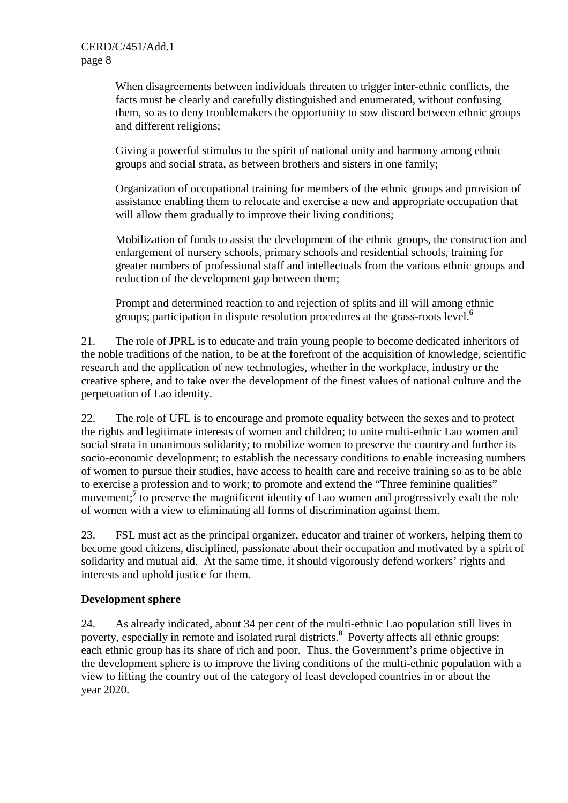When disagreements between individuals threaten to trigger inter-ethnic conflicts, the facts must be clearly and carefully distinguished and enumerated, without confusing them, so as to deny troublemakers the opportunity to sow discord between ethnic groups and different religions;

Giving a powerful stimulus to the spirit of national unity and harmony among ethnic groups and social strata, as between brothers and sisters in one family;

Organization of occupational training for members of the ethnic groups and provision of assistance enabling them to relocate and exercise a new and appropriate occupation that will allow them gradually to improve their living conditions;

Mobilization of funds to assist the development of the ethnic groups, the construction and enlargement of nursery schools, primary schools and residential schools, training for greater numbers of professional staff and intellectuals from the various ethnic groups and reduction of the development gap between them;

Prompt and determined reaction to and rejection of splits and ill will among ethnic groups; participation in dispute resolution procedures at the grass-roots level.**<sup>6</sup>**

21. The role of JPRL is to educate and train young people to become dedicated inheritors of the noble traditions of the nation, to be at the forefront of the acquisition of knowledge, scientific research and the application of new technologies, whether in the workplace, industry or the creative sphere, and to take over the development of the finest values of national culture and the perpetuation of Lao identity.

22. The role of UFL is to encourage and promote equality between the sexes and to protect the rights and legitimate interests of women and children; to unite multi-ethnic Lao women and social strata in unanimous solidarity; to mobilize women to preserve the country and further its socio-economic development; to establish the necessary conditions to enable increasing numbers of women to pursue their studies, have access to health care and receive training so as to be able to exercise a profession and to work; to promote and extend the "Three feminine qualities" movement;<sup>7</sup> to preserve the magnificent identity of Lao women and progressively exalt the role of women with a view to eliminating all forms of discrimination against them.

23. FSL must act as the principal organizer, educator and trainer of workers, helping them to become good citizens, disciplined, passionate about their occupation and motivated by a spirit of solidarity and mutual aid. At the same time, it should vigorously defend workers' rights and interests and uphold justice for them.

## **Development sphere**

24. As already indicated, about 34 per cent of the multi-ethnic Lao population still lives in poverty, especially in remote and isolated rural districts.**<sup>8</sup>** Poverty affects all ethnic groups: each ethnic group has its share of rich and poor. Thus, the Government's prime objective in the development sphere is to improve the living conditions of the multi-ethnic population with a view to lifting the country out of the category of least developed countries in or about the year 2020.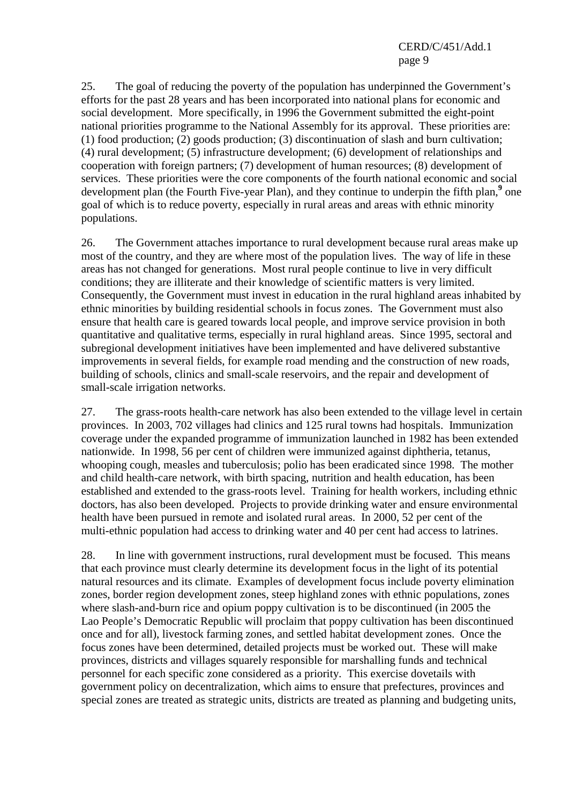25. The goal of reducing the poverty of the population has underpinned the Government's efforts for the past 28 years and has been incorporated into national plans for economic and social development. More specifically, in 1996 the Government submitted the eight-point national priorities programme to the National Assembly for its approval. These priorities are: (1) food production; (2) goods production; (3) discontinuation of slash and burn cultivation; (4) rural development; (5) infrastructure development; (6) development of relationships and cooperation with foreign partners; (7) development of human resources; (8) development of services. These priorities were the core components of the fourth national economic and social development plan (the Fourth Five-year Plan), and they continue to underpin the fifth plan,<sup>9</sup> one goal of which is to reduce poverty, especially in rural areas and areas with ethnic minority populations.

26. The Government attaches importance to rural development because rural areas make up most of the country, and they are where most of the population lives. The way of life in these areas has not changed for generations. Most rural people continue to live in very difficult conditions; they are illiterate and their knowledge of scientific matters is very limited. Consequently, the Government must invest in education in the rural highland areas inhabited by ethnic minorities by building residential schools in focus zones. The Government must also ensure that health care is geared towards local people, and improve service provision in both quantitative and qualitative terms, especially in rural highland areas. Since 1995, sectoral and subregional development initiatives have been implemented and have delivered substantive improvements in several fields, for example road mending and the construction of new roads, building of schools, clinics and small-scale reservoirs, and the repair and development of small-scale irrigation networks.

27. The grass-roots health-care network has also been extended to the village level in certain provinces. In 2003, 702 villages had clinics and 125 rural towns had hospitals. Immunization coverage under the expanded programme of immunization launched in 1982 has been extended nationwide. In 1998, 56 per cent of children were immunized against diphtheria, tetanus, whooping cough, measles and tuberculosis; polio has been eradicated since 1998. The mother and child health-care network, with birth spacing, nutrition and health education, has been established and extended to the grass-roots level. Training for health workers, including ethnic doctors, has also been developed. Projects to provide drinking water and ensure environmental health have been pursued in remote and isolated rural areas. In 2000, 52 per cent of the multi-ethnic population had access to drinking water and 40 per cent had access to latrines.

28. In line with government instructions, rural development must be focused. This means that each province must clearly determine its development focus in the light of its potential natural resources and its climate. Examples of development focus include poverty elimination zones, border region development zones, steep highland zones with ethnic populations, zones where slash-and-burn rice and opium poppy cultivation is to be discontinued (in 2005 the Lao People's Democratic Republic will proclaim that poppy cultivation has been discontinued once and for all), livestock farming zones, and settled habitat development zones. Once the focus zones have been determined, detailed projects must be worked out. These will make provinces, districts and villages squarely responsible for marshalling funds and technical personnel for each specific zone considered as a priority. This exercise dovetails with government policy on decentralization, which aims to ensure that prefectures, provinces and special zones are treated as strategic units, districts are treated as planning and budgeting units,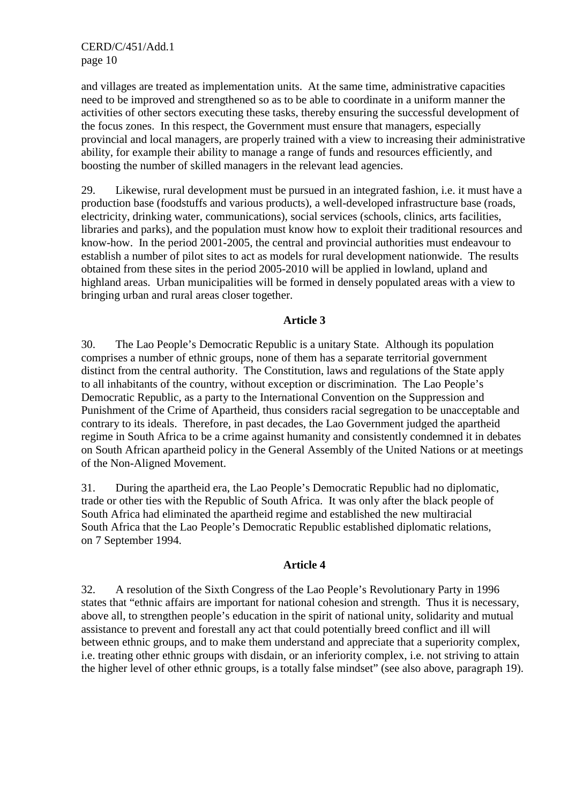CERD/C/451/Add.1 page 10

and villages are treated as implementation units. At the same time, administrative capacities need to be improved and strengthened so as to be able to coordinate in a uniform manner the activities of other sectors executing these tasks, thereby ensuring the successful development of the focus zones. In this respect, the Government must ensure that managers, especially provincial and local managers, are properly trained with a view to increasing their administrative ability, for example their ability to manage a range of funds and resources efficiently, and boosting the number of skilled managers in the relevant lead agencies.

29. Likewise, rural development must be pursued in an integrated fashion, i.e. it must have a production base (foodstuffs and various products), a well-developed infrastructure base (roads, electricity, drinking water, communications), social services (schools, clinics, arts facilities, libraries and parks), and the population must know how to exploit their traditional resources and know-how. In the period 2001-2005, the central and provincial authorities must endeavour to establish a number of pilot sites to act as models for rural development nationwide. The results obtained from these sites in the period 2005-2010 will be applied in lowland, upland and highland areas. Urban municipalities will be formed in densely populated areas with a view to bringing urban and rural areas closer together.

#### **Article 3**

30. The Lao People's Democratic Republic is a unitary State. Although its population comprises a number of ethnic groups, none of them has a separate territorial government distinct from the central authority. The Constitution, laws and regulations of the State apply to all inhabitants of the country, without exception or discrimination. The Lao People's Democratic Republic, as a party to the International Convention on the Suppression and Punishment of the Crime of Apartheid, thus considers racial segregation to be unacceptable and contrary to its ideals. Therefore, in past decades, the Lao Government judged the apartheid regime in South Africa to be a crime against humanity and consistently condemned it in debates on South African apartheid policy in the General Assembly of the United Nations or at meetings of the Non-Aligned Movement.

31. During the apartheid era, the Lao People's Democratic Republic had no diplomatic, trade or other ties with the Republic of South Africa. It was only after the black people of South Africa had eliminated the apartheid regime and established the new multiracial South Africa that the Lao People's Democratic Republic established diplomatic relations, on 7 September 1994.

#### **Article 4**

32. A resolution of the Sixth Congress of the Lao People's Revolutionary Party in 1996 states that "ethnic affairs are important for national cohesion and strength. Thus it is necessary, above all, to strengthen people's education in the spirit of national unity, solidarity and mutual assistance to prevent and forestall any act that could potentially breed conflict and ill will between ethnic groups, and to make them understand and appreciate that a superiority complex, i.e. treating other ethnic groups with disdain, or an inferiority complex, i.e. not striving to attain the higher level of other ethnic groups, is a totally false mindset" (see also above, paragraph 19).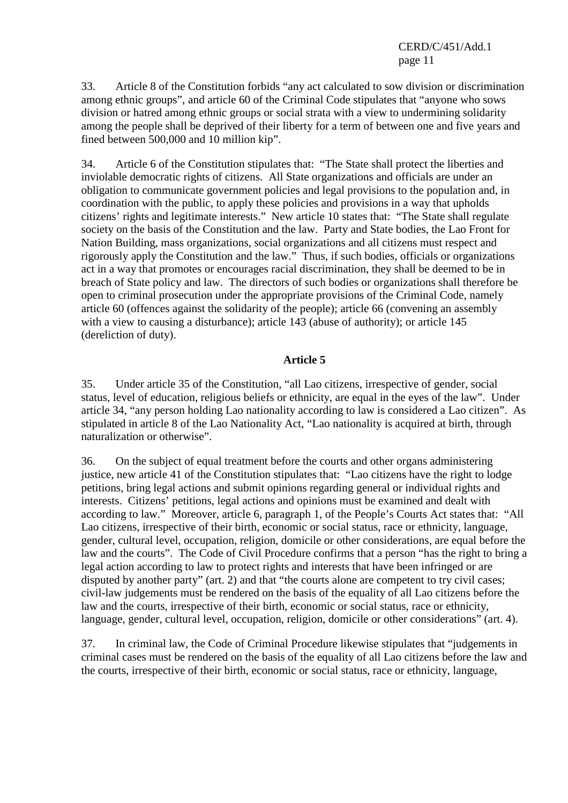33. Article 8 of the Constitution forbids "any act calculated to sow division or discrimination among ethnic groups", and article 60 of the Criminal Code stipulates that "anyone who sows division or hatred among ethnic groups or social strata with a view to undermining solidarity among the people shall be deprived of their liberty for a term of between one and five years and fined between 500,000 and 10 million kip".

34. Article 6 of the Constitution stipulates that: "The State shall protect the liberties and inviolable democratic rights of citizens. All State organizations and officials are under an obligation to communicate government policies and legal provisions to the population and, in coordination with the public, to apply these policies and provisions in a way that upholds citizens' rights and legitimate interests." New article 10 states that: "The State shall regulate society on the basis of the Constitution and the law. Party and State bodies, the Lao Front for Nation Building, mass organizations, social organizations and all citizens must respect and rigorously apply the Constitution and the law." Thus, if such bodies, officials or organizations act in a way that promotes or encourages racial discrimination, they shall be deemed to be in breach of State policy and law. The directors of such bodies or organizations shall therefore be open to criminal prosecution under the appropriate provisions of the Criminal Code, namely article 60 (offences against the solidarity of the people); article 66 (convening an assembly with a view to causing a disturbance); article 143 (abuse of authority); or article 145 (dereliction of duty).

### **Article 5**

35. Under article 35 of the Constitution, "all Lao citizens, irrespective of gender, social status, level of education, religious beliefs or ethnicity, are equal in the eyes of the law". Under article 34, "any person holding Lao nationality according to law is considered a Lao citizen". As stipulated in article 8 of the Lao Nationality Act, "Lao nationality is acquired at birth, through naturalization or otherwise".

36. On the subject of equal treatment before the courts and other organs administering justice, new article 41 of the Constitution stipulates that: "Lao citizens have the right to lodge petitions, bring legal actions and submit opinions regarding general or individual rights and interests. Citizens' petitions, legal actions and opinions must be examined and dealt with according to law." Moreover, article 6, paragraph 1, of the People's Courts Act states that: "All Lao citizens, irrespective of their birth, economic or social status, race or ethnicity, language, gender, cultural level, occupation, religion, domicile or other considerations, are equal before the law and the courts". The Code of Civil Procedure confirms that a person "has the right to bring a legal action according to law to protect rights and interests that have been infringed or are disputed by another party" (art. 2) and that "the courts alone are competent to try civil cases; civil-law judgements must be rendered on the basis of the equality of all Lao citizens before the law and the courts, irrespective of their birth, economic or social status, race or ethnicity, language, gender, cultural level, occupation, religion, domicile or other considerations" (art. 4).

37. In criminal law, the Code of Criminal Procedure likewise stipulates that "judgements in criminal cases must be rendered on the basis of the equality of all Lao citizens before the law and the courts, irrespective of their birth, economic or social status, race or ethnicity, language,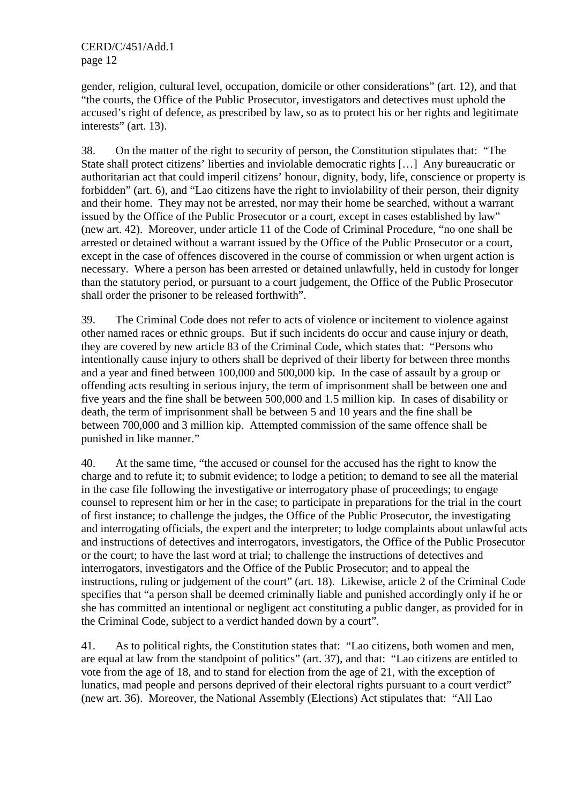gender, religion, cultural level, occupation, domicile or other considerations" (art. 12), and that "the courts, the Office of the Public Prosecutor, investigators and detectives must uphold the accused's right of defence, as prescribed by law, so as to protect his or her rights and legitimate interests" (art. 13).

38. On the matter of the right to security of person, the Constitution stipulates that: "The State shall protect citizens' liberties and inviolable democratic rights […] Any bureaucratic or authoritarian act that could imperil citizens' honour, dignity, body, life, conscience or property is forbidden" (art. 6), and "Lao citizens have the right to inviolability of their person, their dignity and their home. They may not be arrested, nor may their home be searched, without a warrant issued by the Office of the Public Prosecutor or a court, except in cases established by law" (new art. 42). Moreover, under article 11 of the Code of Criminal Procedure, "no one shall be arrested or detained without a warrant issued by the Office of the Public Prosecutor or a court, except in the case of offences discovered in the course of commission or when urgent action is necessary. Where a person has been arrested or detained unlawfully, held in custody for longer than the statutory period, or pursuant to a court judgement, the Office of the Public Prosecutor shall order the prisoner to be released forthwith".

39. The Criminal Code does not refer to acts of violence or incitement to violence against other named races or ethnic groups. But if such incidents do occur and cause injury or death, they are covered by new article 83 of the Criminal Code, which states that: "Persons who intentionally cause injury to others shall be deprived of their liberty for between three months and a year and fined between 100,000 and 500,000 kip. In the case of assault by a group or offending acts resulting in serious injury, the term of imprisonment shall be between one and five years and the fine shall be between 500,000 and 1.5 million kip. In cases of disability or death, the term of imprisonment shall be between 5 and 10 years and the fine shall be between 700,000 and 3 million kip. Attempted commission of the same offence shall be punished in like manner."

40. At the same time, "the accused or counsel for the accused has the right to know the charge and to refute it; to submit evidence; to lodge a petition; to demand to see all the material in the case file following the investigative or interrogatory phase of proceedings; to engage counsel to represent him or her in the case; to participate in preparations for the trial in the court of first instance; to challenge the judges, the Office of the Public Prosecutor, the investigating and interrogating officials, the expert and the interpreter; to lodge complaints about unlawful acts and instructions of detectives and interrogators, investigators, the Office of the Public Prosecutor or the court; to have the last word at trial; to challenge the instructions of detectives and interrogators, investigators and the Office of the Public Prosecutor; and to appeal the instructions, ruling or judgement of the court" (art. 18). Likewise, article 2 of the Criminal Code specifies that "a person shall be deemed criminally liable and punished accordingly only if he or she has committed an intentional or negligent act constituting a public danger, as provided for in the Criminal Code, subject to a verdict handed down by a court".

41. As to political rights, the Constitution states that: "Lao citizens, both women and men, are equal at law from the standpoint of politics" (art. 37), and that: "Lao citizens are entitled to vote from the age of 18, and to stand for election from the age of 21, with the exception of lunatics, mad people and persons deprived of their electoral rights pursuant to a court verdict" (new art. 36). Moreover, the National Assembly (Elections) Act stipulates that: "All Lao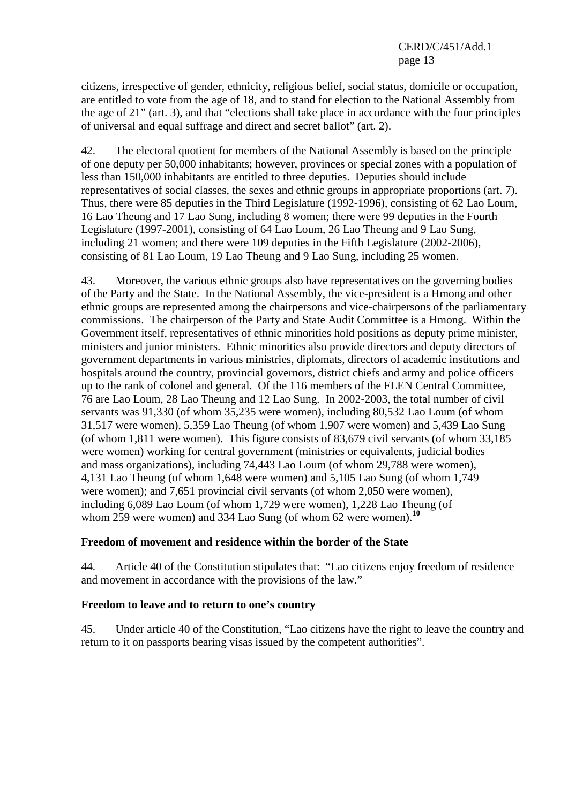citizens, irrespective of gender, ethnicity, religious belief, social status, domicile or occupation, are entitled to vote from the age of 18, and to stand for election to the National Assembly from the age of 21" (art. 3), and that "elections shall take place in accordance with the four principles of universal and equal suffrage and direct and secret ballot" (art. 2).

42. The electoral quotient for members of the National Assembly is based on the principle of one deputy per 50,000 inhabitants; however, provinces or special zones with a population of less than 150,000 inhabitants are entitled to three deputies. Deputies should include representatives of social classes, the sexes and ethnic groups in appropriate proportions (art. 7). Thus, there were 85 deputies in the Third Legislature (1992-1996), consisting of 62 Lao Loum, 16 Lao Theung and 17 Lao Sung, including 8 women; there were 99 deputies in the Fourth Legislature (1997-2001), consisting of 64 Lao Loum, 26 Lao Theung and 9 Lao Sung, including 21 women; and there were 109 deputies in the Fifth Legislature (2002-2006), consisting of 81 Lao Loum, 19 Lao Theung and 9 Lao Sung, including 25 women.

43. Moreover, the various ethnic groups also have representatives on the governing bodies of the Party and the State. In the National Assembly, the vice-president is a Hmong and other ethnic groups are represented among the chairpersons and vice-chairpersons of the parliamentary commissions. The chairperson of the Party and State Audit Committee is a Hmong. Within the Government itself, representatives of ethnic minorities hold positions as deputy prime minister, ministers and junior ministers. Ethnic minorities also provide directors and deputy directors of government departments in various ministries, diplomats, directors of academic institutions and hospitals around the country, provincial governors, district chiefs and army and police officers up to the rank of colonel and general. Of the 116 members of the FLEN Central Committee, 76 are Lao Loum, 28 Lao Theung and 12 Lao Sung. In 2002-2003, the total number of civil servants was 91,330 (of whom 35,235 were women), including 80,532 Lao Loum (of whom 31,517 were women), 5,359 Lao Theung (of whom 1,907 were women) and 5,439 Lao Sung (of whom 1,811 were women). This figure consists of 83,679 civil servants (of whom 33,185 were women) working for central government (ministries or equivalents, judicial bodies and mass organizations), including 74,443 Lao Loum (of whom 29,788 were women), 4,131 Lao Theung (of whom 1,648 were women) and 5,105 Lao Sung (of whom 1,749 were women); and 7,651 provincial civil servants (of whom 2,050 were women), including 6,089 Lao Loum (of whom 1,729 were women), 1,228 Lao Theung (of whom 259 were women) and 334 Lao Sung (of whom 62 were women).**<sup>10</sup>**

## **Freedom of movement and residence within the border of the State**

44. Article 40 of the Constitution stipulates that: "Lao citizens enjoy freedom of residence and movement in accordance with the provisions of the law."

## **Freedom to leave and to return to one's country**

45. Under article 40 of the Constitution, "Lao citizens have the right to leave the country and return to it on passports bearing visas issued by the competent authorities".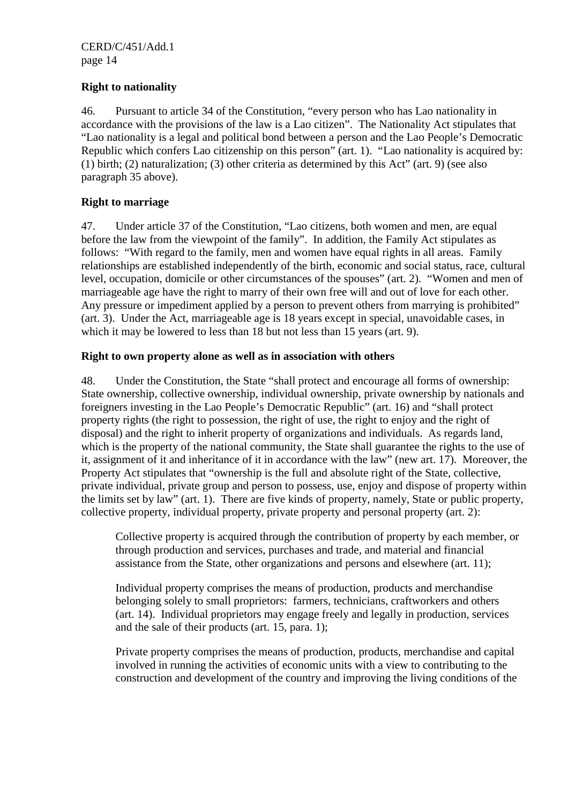# **Right to nationality**

46. Pursuant to article 34 of the Constitution, "every person who has Lao nationality in accordance with the provisions of the law is a Lao citizen". The Nationality Act stipulates that "Lao nationality is a legal and political bond between a person and the Lao People's Democratic Republic which confers Lao citizenship on this person" (art. 1). "Lao nationality is acquired by: (1) birth; (2) naturalization; (3) other criteria as determined by this Act" (art. 9) (see also paragraph 35 above).

# **Right to marriage**

47. Under article 37 of the Constitution, "Lao citizens, both women and men, are equal before the law from the viewpoint of the family". In addition, the Family Act stipulates as follows: "With regard to the family, men and women have equal rights in all areas. Family relationships are established independently of the birth, economic and social status, race, cultural level, occupation, domicile or other circumstances of the spouses" (art. 2). "Women and men of marriageable age have the right to marry of their own free will and out of love for each other. Any pressure or impediment applied by a person to prevent others from marrying is prohibited" (art. 3). Under the Act, marriageable age is 18 years except in special, unavoidable cases, in which it may be lowered to less than 18 but not less than 15 years (art. 9).

## **Right to own property alone as well as in association with others**

48. Under the Constitution, the State "shall protect and encourage all forms of ownership: State ownership, collective ownership, individual ownership, private ownership by nationals and foreigners investing in the Lao People's Democratic Republic" (art. 16) and "shall protect property rights (the right to possession, the right of use, the right to enjoy and the right of disposal) and the right to inherit property of organizations and individuals. As regards land, which is the property of the national community, the State shall guarantee the rights to the use of it, assignment of it and inheritance of it in accordance with the law" (new art. 17). Moreover, the Property Act stipulates that "ownership is the full and absolute right of the State, collective, private individual, private group and person to possess, use, enjoy and dispose of property within the limits set by law" (art. 1). There are five kinds of property, namely, State or public property, collective property, individual property, private property and personal property (art. 2):

Collective property is acquired through the contribution of property by each member, or through production and services, purchases and trade, and material and financial assistance from the State, other organizations and persons and elsewhere (art. 11);

Individual property comprises the means of production, products and merchandise belonging solely to small proprietors: farmers, technicians, craftworkers and others (art. 14). Individual proprietors may engage freely and legally in production, services and the sale of their products (art. 15, para. 1);

Private property comprises the means of production, products, merchandise and capital involved in running the activities of economic units with a view to contributing to the construction and development of the country and improving the living conditions of the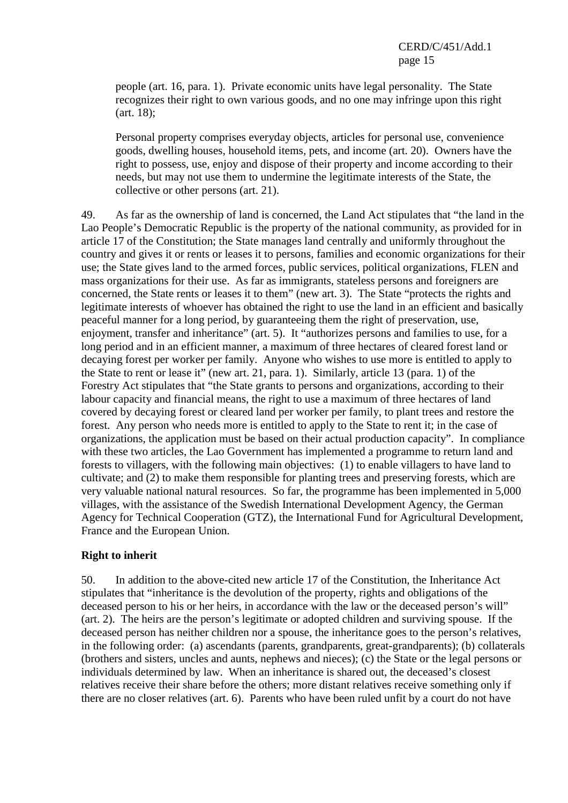people (art. 16, para. 1). Private economic units have legal personality. The State recognizes their right to own various goods, and no one may infringe upon this right (art. 18);

Personal property comprises everyday objects, articles for personal use, convenience goods, dwelling houses, household items, pets, and income (art. 20). Owners have the right to possess, use, enjoy and dispose of their property and income according to their needs, but may not use them to undermine the legitimate interests of the State, the collective or other persons (art. 21).

49. As far as the ownership of land is concerned, the Land Act stipulates that "the land in the Lao People's Democratic Republic is the property of the national community, as provided for in article 17 of the Constitution; the State manages land centrally and uniformly throughout the country and gives it or rents or leases it to persons, families and economic organizations for their use; the State gives land to the armed forces, public services, political organizations, FLEN and mass organizations for their use. As far as immigrants, stateless persons and foreigners are concerned, the State rents or leases it to them" (new art. 3). The State "protects the rights and legitimate interests of whoever has obtained the right to use the land in an efficient and basically peaceful manner for a long period, by guaranteeing them the right of preservation, use, enjoyment, transfer and inheritance" (art. 5). It "authorizes persons and families to use, for a long period and in an efficient manner, a maximum of three hectares of cleared forest land or decaying forest per worker per family. Anyone who wishes to use more is entitled to apply to the State to rent or lease it" (new art. 21, para. 1). Similarly, article 13 (para. 1) of the Forestry Act stipulates that "the State grants to persons and organizations, according to their labour capacity and financial means, the right to use a maximum of three hectares of land covered by decaying forest or cleared land per worker per family, to plant trees and restore the forest. Any person who needs more is entitled to apply to the State to rent it; in the case of organizations, the application must be based on their actual production capacity". In compliance with these two articles, the Lao Government has implemented a programme to return land and forests to villagers, with the following main objectives: (1) to enable villagers to have land to cultivate; and (2) to make them responsible for planting trees and preserving forests, which are very valuable national natural resources. So far, the programme has been implemented in 5,000 villages, with the assistance of the Swedish International Development Agency, the German Agency for Technical Cooperation (GTZ), the International Fund for Agricultural Development, France and the European Union.

## **Right to inherit**

50. In addition to the above-cited new article 17 of the Constitution, the Inheritance Act stipulates that "inheritance is the devolution of the property, rights and obligations of the deceased person to his or her heirs, in accordance with the law or the deceased person's will" (art. 2). The heirs are the person's legitimate or adopted children and surviving spouse. If the deceased person has neither children nor a spouse, the inheritance goes to the person's relatives, in the following order: (a) ascendants (parents, grandparents, great-grandparents); (b) collaterals (brothers and sisters, uncles and aunts, nephews and nieces); (c) the State or the legal persons or individuals determined by law. When an inheritance is shared out, the deceased's closest relatives receive their share before the others; more distant relatives receive something only if there are no closer relatives (art. 6). Parents who have been ruled unfit by a court do not have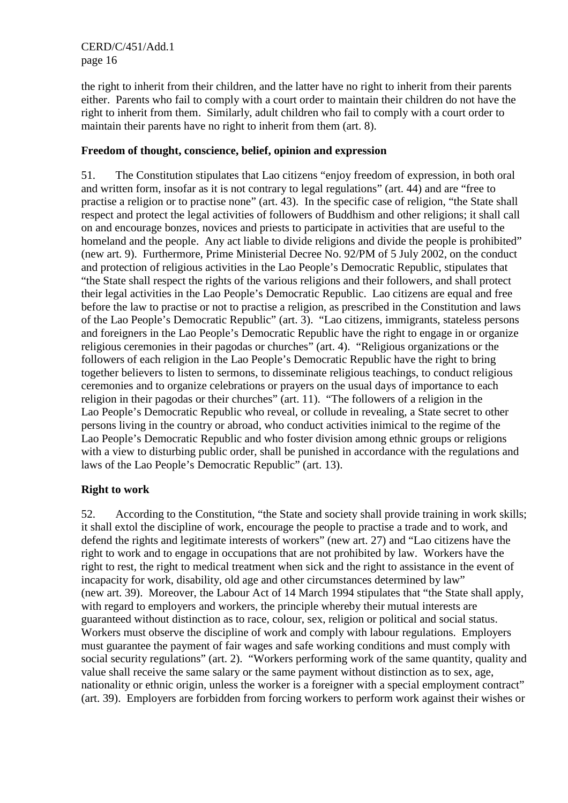CERD/C/451/Add.1 page 16

the right to inherit from their children, and the latter have no right to inherit from their parents either. Parents who fail to comply with a court order to maintain their children do not have the right to inherit from them. Similarly, adult children who fail to comply with a court order to maintain their parents have no right to inherit from them (art. 8).

## **Freedom of thought, conscience, belief, opinion and expression**

51. The Constitution stipulates that Lao citizens "enjoy freedom of expression, in both oral and written form, insofar as it is not contrary to legal regulations" (art. 44) and are "free to practise a religion or to practise none" (art. 43). In the specific case of religion, "the State shall respect and protect the legal activities of followers of Buddhism and other religions; it shall call on and encourage bonzes, novices and priests to participate in activities that are useful to the homeland and the people. Any act liable to divide religions and divide the people is prohibited" (new art. 9). Furthermore, Prime Ministerial Decree No. 92/PM of 5 July 2002, on the conduct and protection of religious activities in the Lao People's Democratic Republic, stipulates that "the State shall respect the rights of the various religions and their followers, and shall protect their legal activities in the Lao People's Democratic Republic. Lao citizens are equal and free before the law to practise or not to practise a religion, as prescribed in the Constitution and laws of the Lao People's Democratic Republic" (art. 3). "Lao citizens, immigrants, stateless persons and foreigners in the Lao People's Democratic Republic have the right to engage in or organize religious ceremonies in their pagodas or churches" (art. 4). "Religious organizations or the followers of each religion in the Lao People's Democratic Republic have the right to bring together believers to listen to sermons, to disseminate religious teachings, to conduct religious ceremonies and to organize celebrations or prayers on the usual days of importance to each religion in their pagodas or their churches" (art. 11). "The followers of a religion in the Lao People's Democratic Republic who reveal, or collude in revealing, a State secret to other persons living in the country or abroad, who conduct activities inimical to the regime of the Lao People's Democratic Republic and who foster division among ethnic groups or religions with a view to disturbing public order, shall be punished in accordance with the regulations and laws of the Lao People's Democratic Republic" (art. 13).

## **Right to work**

52. According to the Constitution, "the State and society shall provide training in work skills; it shall extol the discipline of work, encourage the people to practise a trade and to work, and defend the rights and legitimate interests of workers" (new art. 27) and "Lao citizens have the right to work and to engage in occupations that are not prohibited by law. Workers have the right to rest, the right to medical treatment when sick and the right to assistance in the event of incapacity for work, disability, old age and other circumstances determined by law" (new art. 39). Moreover, the Labour Act of 14 March 1994 stipulates that "the State shall apply, with regard to employers and workers, the principle whereby their mutual interests are guaranteed without distinction as to race, colour, sex, religion or political and social status. Workers must observe the discipline of work and comply with labour regulations. Employers must guarantee the payment of fair wages and safe working conditions and must comply with social security regulations" (art. 2). "Workers performing work of the same quantity, quality and value shall receive the same salary or the same payment without distinction as to sex, age, nationality or ethnic origin, unless the worker is a foreigner with a special employment contract" (art. 39). Employers are forbidden from forcing workers to perform work against their wishes or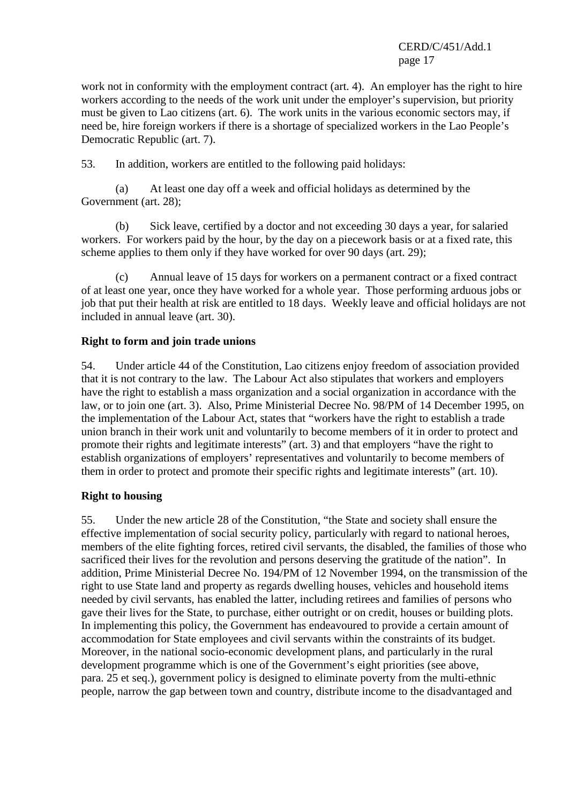CERD/C/451/Add.1 page 17

work not in conformity with the employment contract (art. 4). An employer has the right to hire workers according to the needs of the work unit under the employer's supervision, but priority must be given to Lao citizens (art. 6). The work units in the various economic sectors may, if need be, hire foreign workers if there is a shortage of specialized workers in the Lao People's Democratic Republic (art. 7).

53. In addition, workers are entitled to the following paid holidays:

 (a) At least one day off a week and official holidays as determined by the Government (art. 28);

 (b) Sick leave, certified by a doctor and not exceeding 30 days a year, for salaried workers. For workers paid by the hour, by the day on a piecework basis or at a fixed rate, this scheme applies to them only if they have worked for over 90 days (art. 29);

 (c) Annual leave of 15 days for workers on a permanent contract or a fixed contract of at least one year, once they have worked for a whole year. Those performing arduous jobs or job that put their health at risk are entitled to 18 days. Weekly leave and official holidays are not included in annual leave (art. 30).

### **Right to form and join trade unions**

54. Under article 44 of the Constitution, Lao citizens enjoy freedom of association provided that it is not contrary to the law. The Labour Act also stipulates that workers and employers have the right to establish a mass organization and a social organization in accordance with the law, or to join one (art. 3). Also, Prime Ministerial Decree No. 98/PM of 14 December 1995, on the implementation of the Labour Act, states that "workers have the right to establish a trade union branch in their work unit and voluntarily to become members of it in order to protect and promote their rights and legitimate interests" (art. 3) and that employers "have the right to establish organizations of employers' representatives and voluntarily to become members of them in order to protect and promote their specific rights and legitimate interests" (art. 10).

## **Right to housing**

55. Under the new article 28 of the Constitution, "the State and society shall ensure the effective implementation of social security policy, particularly with regard to national heroes, members of the elite fighting forces, retired civil servants, the disabled, the families of those who sacrificed their lives for the revolution and persons deserving the gratitude of the nation". In addition, Prime Ministerial Decree No. 194/PM of 12 November 1994, on the transmission of the right to use State land and property as regards dwelling houses, vehicles and household items needed by civil servants, has enabled the latter, including retirees and families of persons who gave their lives for the State, to purchase, either outright or on credit, houses or building plots. In implementing this policy, the Government has endeavoured to provide a certain amount of accommodation for State employees and civil servants within the constraints of its budget. Moreover, in the national socio-economic development plans, and particularly in the rural development programme which is one of the Government's eight priorities (see above, para. 25 et seq.), government policy is designed to eliminate poverty from the multi-ethnic people, narrow the gap between town and country, distribute income to the disadvantaged and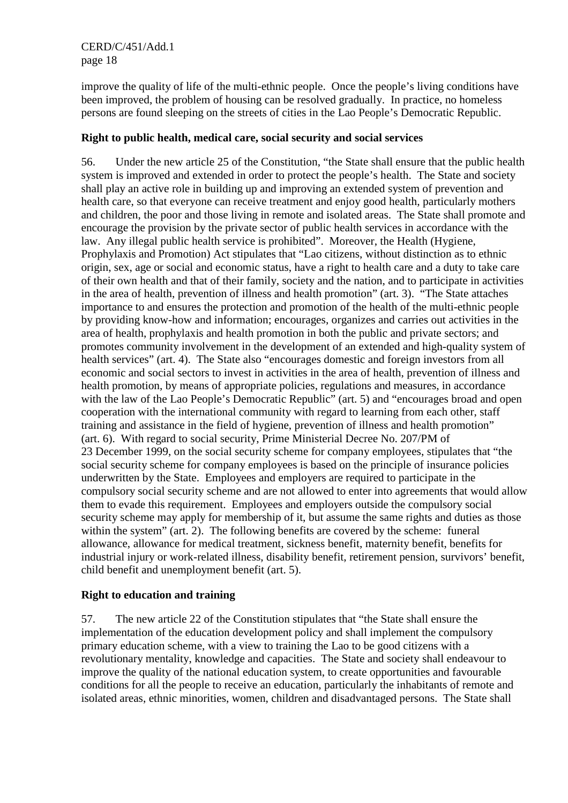CERD/C/451/Add.1 page 18

improve the quality of life of the multi-ethnic people. Once the people's living conditions have been improved, the problem of housing can be resolved gradually. In practice, no homeless persons are found sleeping on the streets of cities in the Lao People's Democratic Republic.

## **Right to public health, medical care, social security and social services**

56. Under the new article 25 of the Constitution, "the State shall ensure that the public health system is improved and extended in order to protect the people's health. The State and society shall play an active role in building up and improving an extended system of prevention and health care, so that everyone can receive treatment and enjoy good health, particularly mothers and children, the poor and those living in remote and isolated areas. The State shall promote and encourage the provision by the private sector of public health services in accordance with the law. Any illegal public health service is prohibited". Moreover, the Health (Hygiene, Prophylaxis and Promotion) Act stipulates that "Lao citizens, without distinction as to ethnic origin, sex, age or social and economic status, have a right to health care and a duty to take care of their own health and that of their family, society and the nation, and to participate in activities in the area of health, prevention of illness and health promotion" (art. 3). "The State attaches importance to and ensures the protection and promotion of the health of the multi-ethnic people by providing know-how and information; encourages, organizes and carries out activities in the area of health, prophylaxis and health promotion in both the public and private sectors; and promotes community involvement in the development of an extended and high-quality system of health services" (art. 4). The State also "encourages domestic and foreign investors from all economic and social sectors to invest in activities in the area of health, prevention of illness and health promotion, by means of appropriate policies, regulations and measures, in accordance with the law of the Lao People's Democratic Republic" (art. 5) and "encourages broad and open cooperation with the international community with regard to learning from each other, staff training and assistance in the field of hygiene, prevention of illness and health promotion" (art. 6). With regard to social security, Prime Ministerial Decree No. 207/PM of 23 December 1999, on the social security scheme for company employees, stipulates that "the social security scheme for company employees is based on the principle of insurance policies underwritten by the State. Employees and employers are required to participate in the compulsory social security scheme and are not allowed to enter into agreements that would allow them to evade this requirement. Employees and employers outside the compulsory social security scheme may apply for membership of it, but assume the same rights and duties as those within the system" (art. 2). The following benefits are covered by the scheme: funeral allowance, allowance for medical treatment, sickness benefit, maternity benefit, benefits for industrial injury or work-related illness, disability benefit, retirement pension, survivors' benefit, child benefit and unemployment benefit (art. 5).

## **Right to education and training**

57. The new article 22 of the Constitution stipulates that "the State shall ensure the implementation of the education development policy and shall implement the compulsory primary education scheme, with a view to training the Lao to be good citizens with a revolutionary mentality, knowledge and capacities. The State and society shall endeavour to improve the quality of the national education system, to create opportunities and favourable conditions for all the people to receive an education, particularly the inhabitants of remote and isolated areas, ethnic minorities, women, children and disadvantaged persons. The State shall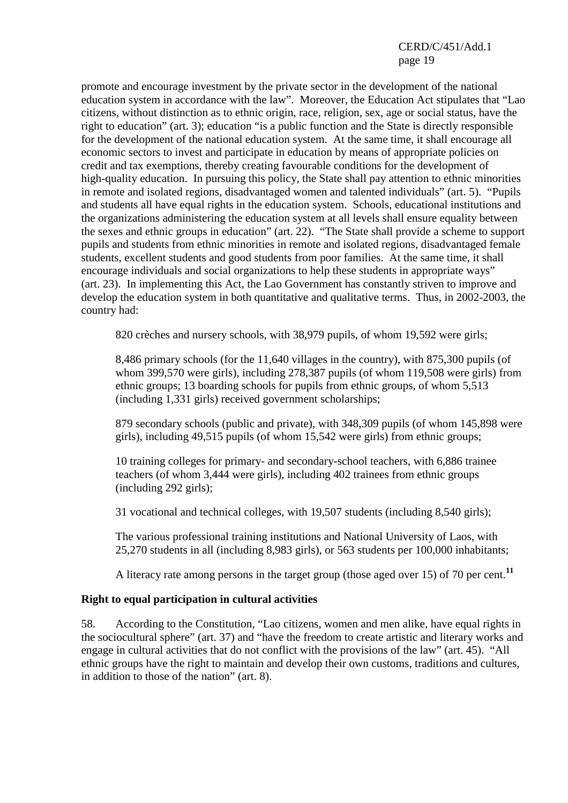## CERD/C/451/Add.1 page 19

promote and encourage investment by the private sector in the development of the national education system in accordance with the law". Moreover, the Education Act stipulates that "Lao citizens, without distinction as to ethnic origin, race, religion, sex, age or social status, have the right to education" (art. 3); education "is a public function and the State is directly responsible for the development of the national education system. At the same time, it shall encourage all economic sectors to invest and participate in education by means of appropriate policies on credit and tax exemptions, thereby creating favourable conditions for the development of high-quality education. In pursuing this policy, the State shall pay attention to ethnic minorities in remote and isolated regions, disadvantaged women and talented individuals" (art. 5). "Pupils and students all have equal rights in the education system. Schools, educational institutions and the organizations administering the education system at all levels shall ensure equality between the sexes and ethnic groups in education" (art. 22). "The State shall provide a scheme to support pupils and students from ethnic minorities in remote and isolated regions, disadvantaged female students, excellent students and good students from poor families. At the same time, it shall encourage individuals and social organizations to help these students in appropriate ways" (art. 23). In implementing this Act, the Lao Government has constantly striven to improve and develop the education system in both quantitative and qualitative terms. Thus, in 2002-2003, the country had:

820 crèches and nursery schools, with 38,979 pupils, of whom 19,592 were girls;

8,486 primary schools (for the 11,640 villages in the country), with 875,300 pupils (of whom 399,570 were girls), including 278,387 pupils (of whom 119,508 were girls) from ethnic groups; 13 boarding schools for pupils from ethnic groups, of whom 5,513 (including 1,331 girls) received government scholarships;

879 secondary schools (public and private), with 348,309 pupils (of whom 145,898 were girls), including 49,515 pupils (of whom 15,542 were girls) from ethnic groups;

10 training colleges for primary- and secondary-school teachers, with 6,886 trainee teachers (of whom 3,444 were girls), including 402 trainees from ethnic groups (including 292 girls);

31 vocational and technical colleges, with 19,507 students (including 8,540 girls);

The various professional training institutions and National University of Laos, with 25,270 students in all (including 8,983 girls), or 563 students per 100,000 inhabitants;

A literacy rate among persons in the target group (those aged over 15) of 70 per cent.**<sup>11</sup>**

#### **Right to equal participation in cultural activities**

58. According to the Constitution, "Lao citizens, women and men alike, have equal rights in the sociocultural sphere" (art. 37) and "have the freedom to create artistic and literary works and engage in cultural activities that do not conflict with the provisions of the law" (art. 45). "All ethnic groups have the right to maintain and develop their own customs, traditions and cultures, in addition to those of the nation" (art. 8).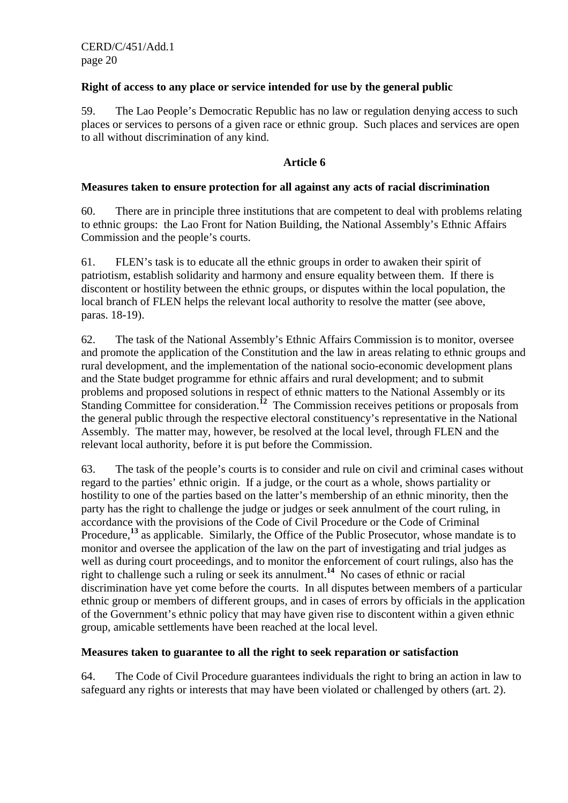## **Right of access to any place or service intended for use by the general public**

59. The Lao People's Democratic Republic has no law or regulation denying access to such places or services to persons of a given race or ethnic group. Such places and services are open to all without discrimination of any kind.

## **Article 6**

### **Measures taken to ensure protection for all against any acts of racial discrimination**

60. There are in principle three institutions that are competent to deal with problems relating to ethnic groups: the Lao Front for Nation Building, the National Assembly's Ethnic Affairs Commission and the people's courts.

61. FLEN's task is to educate all the ethnic groups in order to awaken their spirit of patriotism, establish solidarity and harmony and ensure equality between them. If there is discontent or hostility between the ethnic groups, or disputes within the local population, the local branch of FLEN helps the relevant local authority to resolve the matter (see above, paras. 18-19).

62. The task of the National Assembly's Ethnic Affairs Commission is to monitor, oversee and promote the application of the Constitution and the law in areas relating to ethnic groups and rural development, and the implementation of the national socio-economic development plans and the State budget programme for ethnic affairs and rural development; and to submit problems and proposed solutions in respect of ethnic matters to the National Assembly or its Standing Committee for consideration.<sup>12</sup> The Commission receives petitions or proposals from the general public through the respective electoral constituency's representative in the National Assembly. The matter may, however, be resolved at the local level, through FLEN and the relevant local authority, before it is put before the Commission.

63. The task of the people's courts is to consider and rule on civil and criminal cases without regard to the parties' ethnic origin. If a judge, or the court as a whole, shows partiality or hostility to one of the parties based on the latter's membership of an ethnic minority, then the party has the right to challenge the judge or judges or seek annulment of the court ruling, in accordance with the provisions of the Code of Civil Procedure or the Code of Criminal Procedure,<sup>13</sup> as applicable. Similarly, the Office of the Public Prosecutor, whose mandate is to monitor and oversee the application of the law on the part of investigating and trial judges as well as during court proceedings, and to monitor the enforcement of court rulings, also has the right to challenge such a ruling or seek its annulment.**<sup>14</sup>** No cases of ethnic or racial discrimination have yet come before the courts. In all disputes between members of a particular ethnic group or members of different groups, and in cases of errors by officials in the application of the Government's ethnic policy that may have given rise to discontent within a given ethnic group, amicable settlements have been reached at the local level.

#### **Measures taken to guarantee to all the right to seek reparation or satisfaction**

64. The Code of Civil Procedure guarantees individuals the right to bring an action in law to safeguard any rights or interests that may have been violated or challenged by others (art. 2).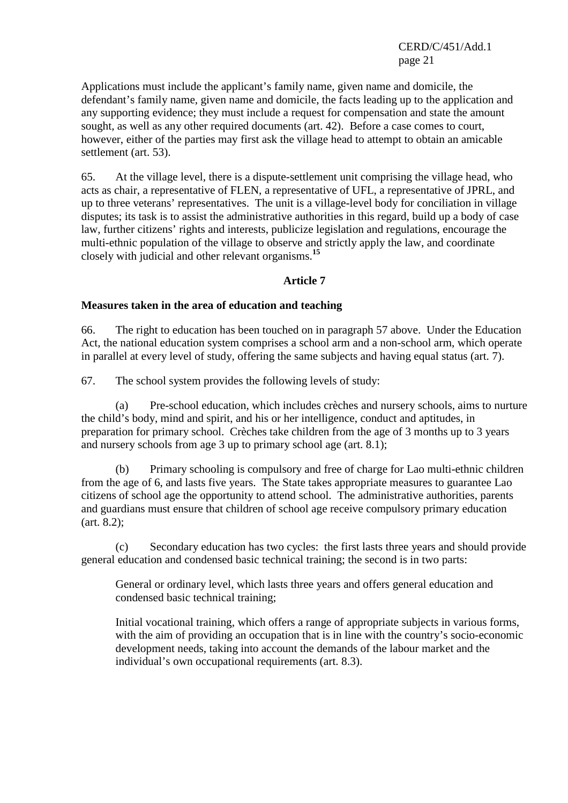CERD/C/451/Add.1 page 21

Applications must include the applicant's family name, given name and domicile, the defendant's family name, given name and domicile, the facts leading up to the application and any supporting evidence; they must include a request for compensation and state the amount sought, as well as any other required documents (art. 42). Before a case comes to court, however, either of the parties may first ask the village head to attempt to obtain an amicable settlement (art. 53).

65. At the village level, there is a dispute-settlement unit comprising the village head, who acts as chair, a representative of FLEN, a representative of UFL, a representative of JPRL, and up to three veterans' representatives. The unit is a village-level body for conciliation in village disputes; its task is to assist the administrative authorities in this regard, build up a body of case law, further citizens' rights and interests, publicize legislation and regulations, encourage the multi-ethnic population of the village to observe and strictly apply the law, and coordinate closely with judicial and other relevant organisms.**<sup>15</sup>**

#### **Article 7**

#### **Measures taken in the area of education and teaching**

66. The right to education has been touched on in paragraph 57 above. Under the Education Act, the national education system comprises a school arm and a non-school arm, which operate in parallel at every level of study, offering the same subjects and having equal status (art. 7).

67. The school system provides the following levels of study:

 (a) Pre-school education, which includes crèches and nursery schools, aims to nurture the child's body, mind and spirit, and his or her intelligence, conduct and aptitudes, in preparation for primary school. Crèches take children from the age of 3 months up to 3 years and nursery schools from age 3 up to primary school age (art. 8.1);

 (b) Primary schooling is compulsory and free of charge for Lao multi-ethnic children from the age of 6, and lasts five years. The State takes appropriate measures to guarantee Lao citizens of school age the opportunity to attend school. The administrative authorities, parents and guardians must ensure that children of school age receive compulsory primary education (art. 8.2);

 (c) Secondary education has two cycles: the first lasts three years and should provide general education and condensed basic technical training; the second is in two parts:

General or ordinary level, which lasts three years and offers general education and condensed basic technical training;

Initial vocational training, which offers a range of appropriate subjects in various forms, with the aim of providing an occupation that is in line with the country's socio-economic development needs, taking into account the demands of the labour market and the individual's own occupational requirements (art. 8.3).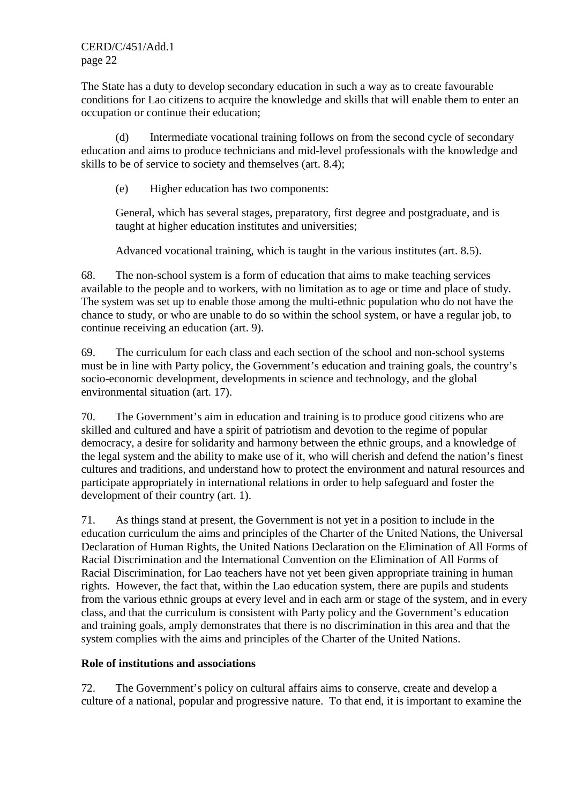CERD/C/451/Add.1 page 22

The State has a duty to develop secondary education in such a way as to create favourable conditions for Lao citizens to acquire the knowledge and skills that will enable them to enter an occupation or continue their education;

 (d) Intermediate vocational training follows on from the second cycle of secondary education and aims to produce technicians and mid-level professionals with the knowledge and skills to be of service to society and themselves (art. 8.4);

(e) Higher education has two components:

General, which has several stages, preparatory, first degree and postgraduate, and is taught at higher education institutes and universities;

Advanced vocational training, which is taught in the various institutes (art. 8.5).

68. The non-school system is a form of education that aims to make teaching services available to the people and to workers, with no limitation as to age or time and place of study. The system was set up to enable those among the multi-ethnic population who do not have the chance to study, or who are unable to do so within the school system, or have a regular job, to continue receiving an education (art. 9).

69. The curriculum for each class and each section of the school and non-school systems must be in line with Party policy, the Government's education and training goals, the country's socio-economic development, developments in science and technology, and the global environmental situation (art. 17).

70. The Government's aim in education and training is to produce good citizens who are skilled and cultured and have a spirit of patriotism and devotion to the regime of popular democracy, a desire for solidarity and harmony between the ethnic groups, and a knowledge of the legal system and the ability to make use of it, who will cherish and defend the nation's finest cultures and traditions, and understand how to protect the environment and natural resources and participate appropriately in international relations in order to help safeguard and foster the development of their country (art. 1).

71. As things stand at present, the Government is not yet in a position to include in the education curriculum the aims and principles of the Charter of the United Nations, the Universal Declaration of Human Rights, the United Nations Declaration on the Elimination of All Forms of Racial Discrimination and the International Convention on the Elimination of All Forms of Racial Discrimination, for Lao teachers have not yet been given appropriate training in human rights. However, the fact that, within the Lao education system, there are pupils and students from the various ethnic groups at every level and in each arm or stage of the system, and in every class, and that the curriculum is consistent with Party policy and the Government's education and training goals, amply demonstrates that there is no discrimination in this area and that the system complies with the aims and principles of the Charter of the United Nations.

#### **Role of institutions and associations**

72. The Government's policy on cultural affairs aims to conserve, create and develop a culture of a national, popular and progressive nature. To that end, it is important to examine the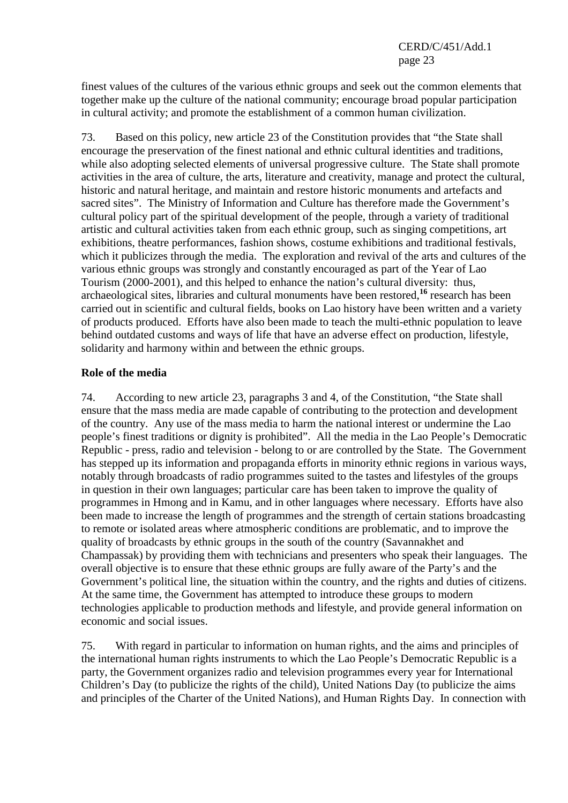finest values of the cultures of the various ethnic groups and seek out the common elements that together make up the culture of the national community; encourage broad popular participation in cultural activity; and promote the establishment of a common human civilization.

73. Based on this policy, new article 23 of the Constitution provides that "the State shall encourage the preservation of the finest national and ethnic cultural identities and traditions, while also adopting selected elements of universal progressive culture. The State shall promote activities in the area of culture, the arts, literature and creativity, manage and protect the cultural, historic and natural heritage, and maintain and restore historic monuments and artefacts and sacred sites". The Ministry of Information and Culture has therefore made the Government's cultural policy part of the spiritual development of the people, through a variety of traditional artistic and cultural activities taken from each ethnic group, such as singing competitions, art exhibitions, theatre performances, fashion shows, costume exhibitions and traditional festivals, which it publicizes through the media. The exploration and revival of the arts and cultures of the various ethnic groups was strongly and constantly encouraged as part of the Year of Lao Tourism (2000-2001), and this helped to enhance the nation's cultural diversity: thus, archaeological sites, libraries and cultural monuments have been restored,**<sup>16</sup>** research has been carried out in scientific and cultural fields, books on Lao history have been written and a variety of products produced. Efforts have also been made to teach the multi-ethnic population to leave behind outdated customs and ways of life that have an adverse effect on production, lifestyle, solidarity and harmony within and between the ethnic groups.

### **Role of the media**

74. According to new article 23, paragraphs 3 and 4, of the Constitution, "the State shall ensure that the mass media are made capable of contributing to the protection and development of the country. Any use of the mass media to harm the national interest or undermine the Lao people's finest traditions or dignity is prohibited". All the media in the Lao People's Democratic Republic - press, radio and television - belong to or are controlled by the State. The Government has stepped up its information and propaganda efforts in minority ethnic regions in various ways, notably through broadcasts of radio programmes suited to the tastes and lifestyles of the groups in question in their own languages; particular care has been taken to improve the quality of programmes in Hmong and in Kamu, and in other languages where necessary. Efforts have also been made to increase the length of programmes and the strength of certain stations broadcasting to remote or isolated areas where atmospheric conditions are problematic, and to improve the quality of broadcasts by ethnic groups in the south of the country (Savannakhet and Champassak) by providing them with technicians and presenters who speak their languages. The overall objective is to ensure that these ethnic groups are fully aware of the Party's and the Government's political line, the situation within the country, and the rights and duties of citizens. At the same time, the Government has attempted to introduce these groups to modern technologies applicable to production methods and lifestyle, and provide general information on economic and social issues.

75. With regard in particular to information on human rights, and the aims and principles of the international human rights instruments to which the Lao People's Democratic Republic is a party, the Government organizes radio and television programmes every year for International Children's Day (to publicize the rights of the child), United Nations Day (to publicize the aims and principles of the Charter of the United Nations), and Human Rights Day. In connection with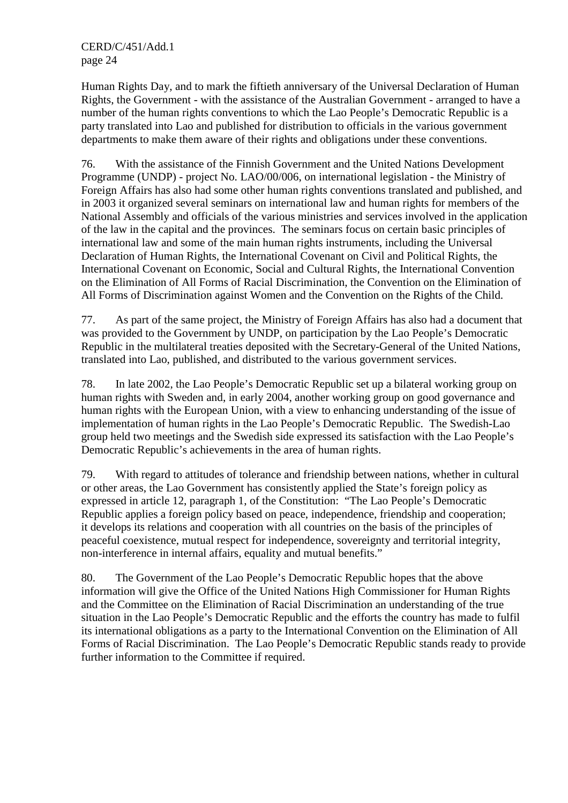Human Rights Day, and to mark the fiftieth anniversary of the Universal Declaration of Human Rights, the Government - with the assistance of the Australian Government - arranged to have a number of the human rights conventions to which the Lao People's Democratic Republic is a party translated into Lao and published for distribution to officials in the various government departments to make them aware of their rights and obligations under these conventions.

76. With the assistance of the Finnish Government and the United Nations Development Programme (UNDP) - project No. LAO/00/006, on international legislation - the Ministry of Foreign Affairs has also had some other human rights conventions translated and published, and in 2003 it organized several seminars on international law and human rights for members of the National Assembly and officials of the various ministries and services involved in the application of the law in the capital and the provinces. The seminars focus on certain basic principles of international law and some of the main human rights instruments, including the Universal Declaration of Human Rights, the International Covenant on Civil and Political Rights, the International Covenant on Economic, Social and Cultural Rights, the International Convention on the Elimination of All Forms of Racial Discrimination, the Convention on the Elimination of All Forms of Discrimination against Women and the Convention on the Rights of the Child.

77. As part of the same project, the Ministry of Foreign Affairs has also had a document that was provided to the Government by UNDP, on participation by the Lao People's Democratic Republic in the multilateral treaties deposited with the Secretary-General of the United Nations, translated into Lao, published, and distributed to the various government services.

78. In late 2002, the Lao People's Democratic Republic set up a bilateral working group on human rights with Sweden and, in early 2004, another working group on good governance and human rights with the European Union, with a view to enhancing understanding of the issue of implementation of human rights in the Lao People's Democratic Republic. The Swedish-Lao group held two meetings and the Swedish side expressed its satisfaction with the Lao People's Democratic Republic's achievements in the area of human rights.

79. With regard to attitudes of tolerance and friendship between nations, whether in cultural or other areas, the Lao Government has consistently applied the State's foreign policy as expressed in article 12, paragraph 1, of the Constitution: "The Lao People's Democratic Republic applies a foreign policy based on peace, independence, friendship and cooperation; it develops its relations and cooperation with all countries on the basis of the principles of peaceful coexistence, mutual respect for independence, sovereignty and territorial integrity, non-interference in internal affairs, equality and mutual benefits."

80. The Government of the Lao People's Democratic Republic hopes that the above information will give the Office of the United Nations High Commissioner for Human Rights and the Committee on the Elimination of Racial Discrimination an understanding of the true situation in the Lao People's Democratic Republic and the efforts the country has made to fulfil its international obligations as a party to the International Convention on the Elimination of All Forms of Racial Discrimination. The Lao People's Democratic Republic stands ready to provide further information to the Committee if required.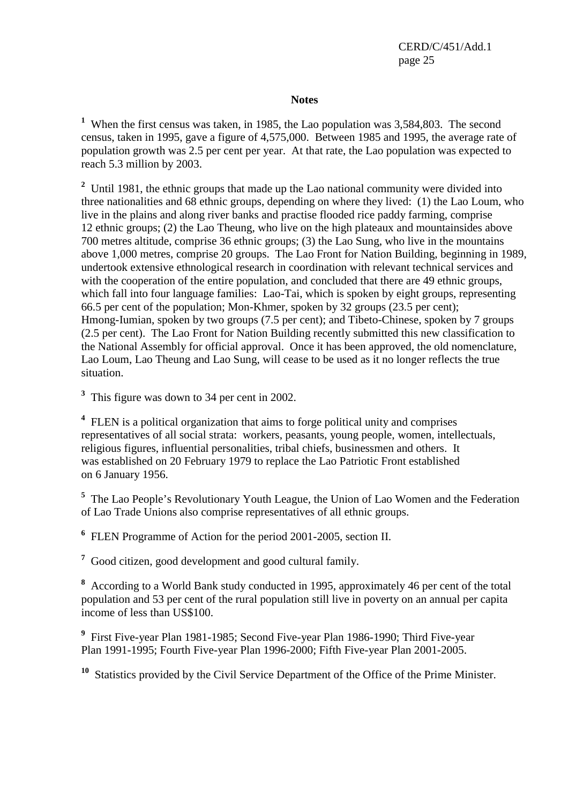CERD/C/451/Add.1 page 25

#### **Notes**

<sup>1</sup> When the first census was taken, in 1985, the Lao population was 3,584,803. The second census, taken in 1995, gave a figure of 4,575,000. Between 1985 and 1995, the average rate of population growth was 2.5 per cent per year. At that rate, the Lao population was expected to reach 5.3 million by 2003.

<sup>2</sup> Until 1981, the ethnic groups that made up the Lao national community were divided into three nationalities and 68 ethnic groups, depending on where they lived: (1) the Lao Loum, who live in the plains and along river banks and practise flooded rice paddy farming, comprise 12 ethnic groups; (2) the Lao Theung, who live on the high plateaux and mountainsides above 700 metres altitude, comprise 36 ethnic groups; (3) the Lao Sung, who live in the mountains above 1,000 metres, comprise 20 groups. The Lao Front for Nation Building, beginning in 1989, undertook extensive ethnological research in coordination with relevant technical services and with the cooperation of the entire population, and concluded that there are 49 ethnic groups, which fall into four language families: Lao-Tai, which is spoken by eight groups, representing 66.5 per cent of the population; Mon-Khmer, spoken by 32 groups (23.5 per cent); Hmong-Iumian, spoken by two groups (7.5 per cent); and Tibeto-Chinese, spoken by 7 groups (2.5 per cent). The Lao Front for Nation Building recently submitted this new classification to the National Assembly for official approval. Once it has been approved, the old nomenclature, Lao Loum, Lao Theung and Lao Sung, will cease to be used as it no longer reflects the true situation.

<sup>3</sup> This figure was down to 34 per cent in 2002.

<sup>4</sup> FLEN is a political organization that aims to forge political unity and comprises representatives of all social strata: workers, peasants, young people, women, intellectuals, religious figures, influential personalities, tribal chiefs, businessmen and others. It was established on 20 February 1979 to replace the Lao Patriotic Front established on 6 January 1956.

<sup>5</sup> The Lao People's Revolutionary Youth League, the Union of Lao Women and the Federation of Lao Trade Unions also comprise representatives of all ethnic groups.

**6** FLEN Programme of Action for the period 2001-2005, section II.

<sup>7</sup> Good citizen, good development and good cultural family.

**8** According to a World Bank study conducted in 1995, approximately 46 per cent of the total population and 53 per cent of the rural population still live in poverty on an annual per capita income of less than US\$100.

**9** First Five-year Plan 1981-1985; Second Five-year Plan 1986-1990; Third Five-year Plan 1991-1995; Fourth Five-year Plan 1996-2000; Fifth Five-year Plan 2001-2005.

**<sup>10</sup>** Statistics provided by the Civil Service Department of the Office of the Prime Minister.